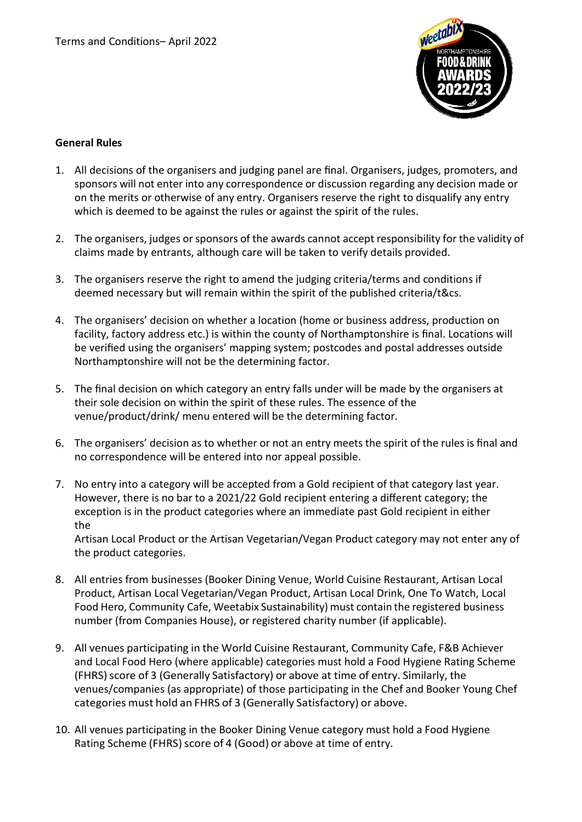

### **General Rules**

- 1. All decisions of the organisers and judging panel are final. Organisers, judges, promoters, and sponsors will not enter into any correspondence or discussion regarding any decision made or on the merits or otherwise of any entry. Organisers reserve the right to disqualify any entry which is deemed to be against the rules or against the spirit of the rules.
- 2. The organisers, judges or sponsors of the awards cannot accept responsibility for the validity of claims made by entrants, although care will be taken to verify details provided.
- 3. The organisers reserve the right to amend the judging criteria/terms and conditions if deemed necessary but will remain within the spirit of the published criteria/t&cs.
- 4. The organisers' decision on whether a location (home or business address, production on facility, factory address etc.) is within the county of Northamptonshire is final. Locations will be verified using the organisers' mapping system; postcodes and postal addresses outside Northamptonshire will not be the determining factor.
- 5. The final decision on which category an entry falls under will be made by the organisers at their sole decision on within the spirit of these rules. The essence of the venue/product/drink/ menu entered will be the determining factor.
- 6. The organisers' decision as to whether or not an entry meets the spirit of the rules is final and no correspondence will be entered into nor appeal possible.
- 7. No entry into a category will be accepted from a Gold recipient of that category last year. However, there is no bar to a 2021/22 Gold recipient entering a different category; the exception is in the product categories where an immediate past Gold recipient in either the

Artisan Local Product or the Artisan Vegetarian/Vegan Product category may not enter any of the product categories.

- 8. All entries from businesses (Booker Dining Venue, World Cuisine Restaurant, Artisan Local Product, Artisan Local Vegetarian/Vegan Product, Artisan Local Drink, One To Watch, Local Food Hero, Community Cafe, Weetabix Sustainability) must contain the registered business number (from Companies House), or registered charity number (if applicable).
- 9. All venues participating in the World Cuisine Restaurant, Community Cafe, F&B Achiever and Local Food Hero (where applicable) categories must hold a Food Hygiene Rating Scheme (FHRS) score of 3 (Generally Satisfactory) or above at time of entry. Similarly, the venues/companies (as appropriate) of those participating in the Chef and Booker Young Chef categories must hold an FHRS of 3 (Generally Satisfactory) or above.
- 10. All venues participating in the Booker Dining Venue category must hold a Food Hygiene Rating Scheme (FHRS) score of 4 (Good) or above at time of entry.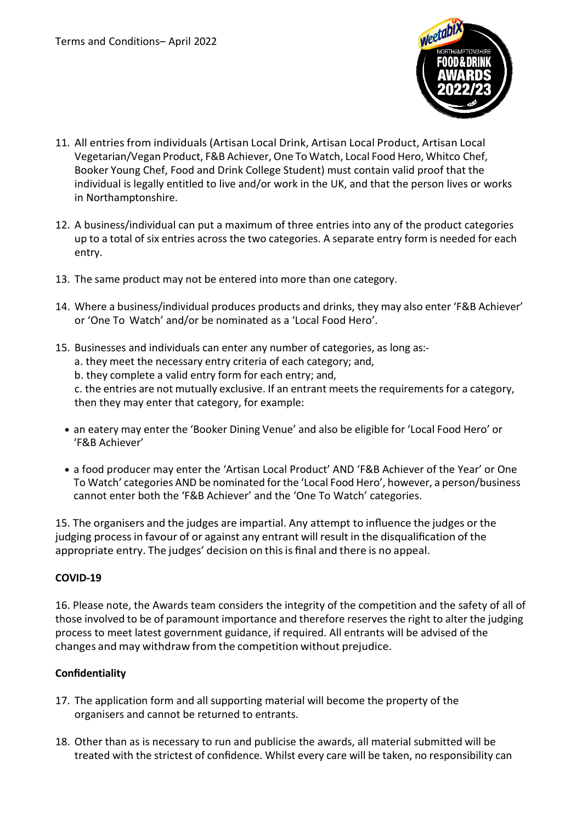

- 11. All entries from individuals (Artisan Local Drink, Artisan Local Product, Artisan Local Vegetarian/Vegan Product, F&B Achiever, One To Watch, Local Food Hero, Whitco Chef, Booker Young Chef, Food and Drink College Student) must contain valid proof that the individual is legally entitled to live and/or work in the UK, and that the person lives or works in Northamptonshire.
- 12. A business/individual can put a maximum of three entries into any of the product categories up to a total of six entries across the two categories. A separate entry form is needed for each entry.
- 13. The same product may not be entered into more than one category.
- 14. Where a business/individual produces products and drinks, they may also enter 'F&B Achiever' or 'One To Watch' and/or be nominated as a 'Local Food Hero'.
- 15. Businesses and individuals can enter any number of categories, as long as:
	- a. they meet the necessary entry criteria of each category; and,
	- b. they complete a valid entry form for each entry; and,

c. the entries are not mutually exclusive. If an entrant meetsthe requirements for a category, then they may enter that category, for example:

- an eatery may enter the 'Booker Dining Venue' and also be eligible for 'Local Food Hero' or 'F&B Achiever'
- a food producer may enter the 'Artisan Local Product' AND 'F&B Achiever of the Year' or One To Watch' categories AND be nominated forthe 'Local Food Hero', however, a person/business cannot enter both the 'F&B Achiever' and the 'One To Watch' categories.

15. The organisers and the judges are impartial. Any attempt to influence the judges or the judging processin favour of or against any entrant will result in the disqualification of the appropriate entry. The judges' decision on thisis final and there is no appeal.

## **COVID-19**

16. Please note, the Awards team considers the integrity of the competition and the safety of all of those involved to be of paramount importance and therefore reserves the right to alter the judging process to meet latest government guidance, if required. All entrants will be advised of the changes and may withdraw from the competition without prejudice.

## **Confidentiality**

- 17. The application form and all supporting material will become the property of the organisers and cannot be returned to entrants.
- 18. Other than as is necessary to run and publicise the awards, all material submitted will be treated with the strictest of confidence. Whilst every care will be taken, no responsibility can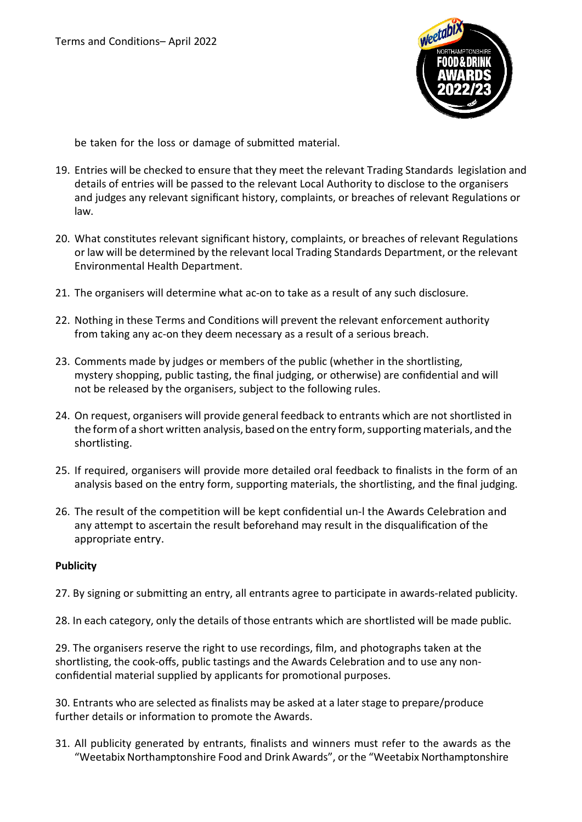

be taken for the loss or damage of submitted material.

- 19. Entries will be checked to ensure that they meet the relevant Trading Standards legislation and details of entries will be passed to the relevant Local Authority to disclose to the organisers and judges any relevant significant history, complaints, or breaches of relevant Regulations or law.
- 20. What constitutes relevant significant history, complaints, or breaches of relevant Regulations or law will be determined by the relevant local Trading Standards Department, or the relevant Environmental Health Department.
- 21. The organisers will determine what ac-on to take as a result of any such disclosure.
- 22. Nothing in these Terms and Conditions will prevent the relevant enforcement authority from taking any ac-on they deem necessary as a result of a serious breach.
- 23. Comments made by judges or members of the public (whether in the shortlisting, mystery shopping, public tasting, the final judging, or otherwise) are confidential and will not be released by the organisers, subject to the following rules.
- 24. On request, organisers will provide general feedback to entrants which are not shortlisted in the form of a short written analysis, based on the entry form, supporting materials, and the shortlisting.
- 25. If required, organisers will provide more detailed oral feedback to finalists in the form of an analysis based on the entry form, supporting materials, the shortlisting, and the final judging.
- 26. The result of the competition will be kept confidential un-l the Awards Celebration and any attempt to ascertain the result beforehand may result in the disqualification of the appropriate entry.

## **Publicity**

27. By signing or submitting an entry, all entrants agree to participate in awards-related publicity.

28. In each category, only the details of those entrants which are shortlisted will be made public.

29. The organisers reserve the right to use recordings, film, and photographs taken at the shortlisting, the cook-offs, public tastings and the Awards Celebration and to use any nonconfidential material supplied by applicants for promotional purposes.

30. Entrants who are selected as finalists may be asked at a later stage to prepare/produce further details or information to promote the Awards.

31. All publicity generated by entrants, finalists and winners must refer to the awards as the "Weetabix Northamptonshire Food and Drink Awards", or the "Weetabix Northamptonshire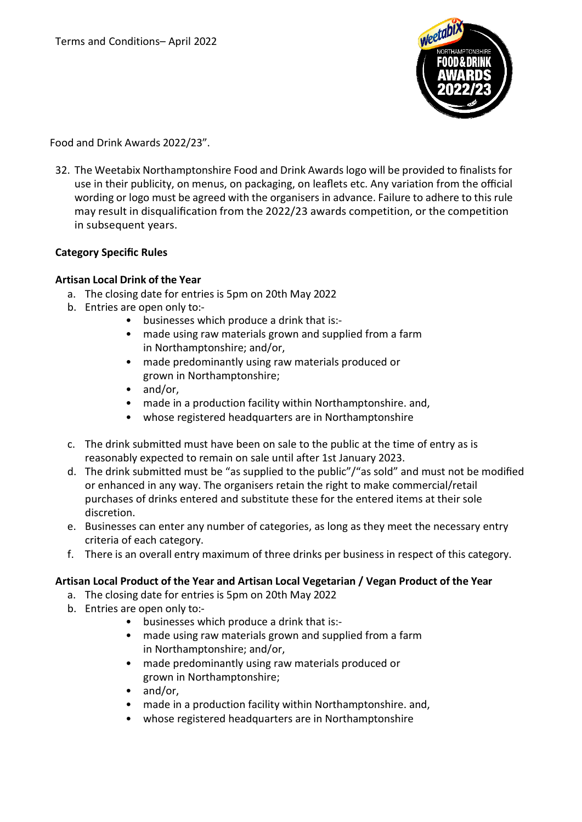

Food and Drink Awards 2022/23".

32. The Weetabix Northamptonshire Food and Drink Awards logo will be provided to finalists for use in their publicity, on menus, on packaging, on leaflets etc. Any variation from the official wording or logo must be agreed with the organisers in advance. Failure to adhere to this rule may result in disqualification from the 2022/23 awards competition, or the competition in subsequent years.

## **Category Specific Rules**

## **Artisan Local Drink of the Year**

- a. The closing date for entries is 5pm on 20th May 2022
- b. Entries are open only to:-
	- businesses which produce a drink that is:-
	- made using raw materials grown and supplied from a farm in Northamptonshire; and/or,
	- made predominantly using raw materials produced or grown in Northamptonshire;
	- and/or,
	- made in a production facility within Northamptonshire. and,
	- whose registered headquarters are in Northamptonshire
- c. The drink submitted must have been on sale to the public at the time of entry as is reasonably expected to remain on sale until after 1st January 2023.
- d. The drink submitted must be "as supplied to the public"/"as sold" and must not be modified or enhanced in any way. The organisers retain the right to make commercial/retail purchases of drinks entered and substitute these for the entered items at their sole discretion.
- e. Businesses can enter any number of categories, as long as they meet the necessary entry criteria of each category.
- f. There is an overall entry maximum of three drinks per business in respect of this category.

## **Artisan Local Product of the Year and Artisan Local Vegetarian / Vegan Product of the Year**

- a. The closing date for entries is 5pm on 20th May 2022
- b. Entries are open only to:-
	- businesses which produce a drink that is:-
	- made using raw materials grown and supplied from a farm in Northamptonshire; and/or,
	- made predominantly using raw materials produced or grown in Northamptonshire;
	- and/or,
	- made in a production facility within Northamptonshire. and,
	- whose registered headquarters are in Northamptonshire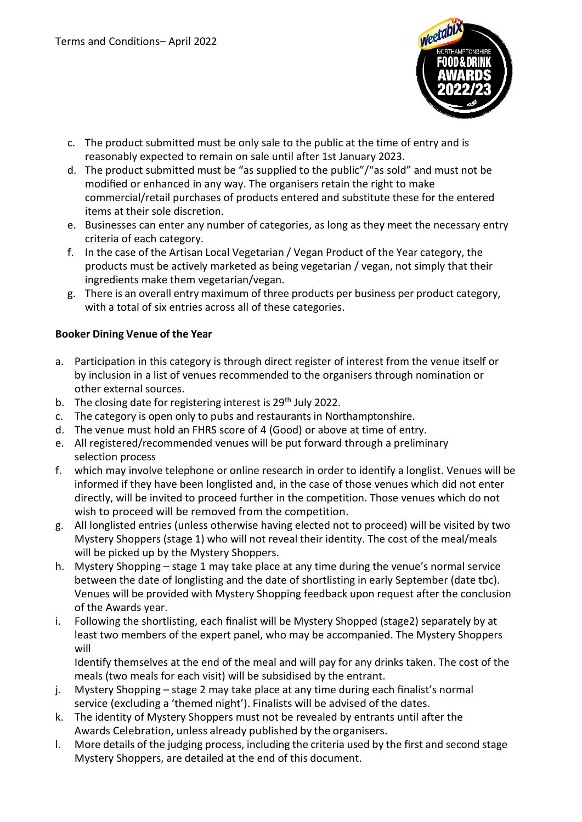

- c. The product submitted must be only sale to the public at the time of entry and is reasonably expected to remain on sale until after 1st January 2023.
- d. The product submitted must be "as supplied to the public"/"as sold" and must not be modified or enhanced in any way. The organisers retain the right to make commercial/retail purchases of products entered and substitute these for the entered items at their sole discretion.
- e. Businesses can enter any number of categories, as long as they meet the necessary entry criteria of each category.
- f. In the case of the Artisan Local Vegetarian / Vegan Product of the Year category, the products must be actively marketed as being vegetarian / vegan, not simply that their ingredients make them vegetarian/vegan.
- g. There is an overall entry maximum of three products per business per product category, with a total of six entries across all of these categories.

## **Booker Dining Venue of the Year**

- a. Participation in this category is through direct register of interest from the venue itself or by inclusion in a list of venues recommended to the organisers through nomination or other external sources.
- b. The closing date for registering interest is 29<sup>th</sup> July 2022.
- c. The category is open only to pubs and restaurants in Northamptonshire.
- d. The venue must hold an FHRS score of 4 (Good) or above at time of entry.
- e. All registered/recommended venues will be put forward through a preliminary selection process
- f. which may involve telephone or online research in order to identify a longlist. Venues will be informed if they have been longlisted and, in the case of those venues which did not enter directly, will be invited to proceed further in the competition. Those venues which do not wish to proceed will be removed from the competition.
- g. All longlisted entries (unless otherwise having elected not to proceed) will be visited by two Mystery Shoppers (stage 1) who will not reveal their identity. The cost of the meal/meals will be picked up by the Mystery Shoppers.
- h. Mystery Shopping stage 1 may take place at any time during the venue's normal service between the date of longlisting and the date of shortlisting in early September (date tbc). Venues will be provided with Mystery Shopping feedback upon request after the conclusion of the Awards year.
- i. Following the shortlisting, each finalist will be Mystery Shopped (stage2) separately by at least two members of the expert panel, who may be accompanied. The Mystery Shoppers will

Identify themselves at the end of the meal and will pay for any drinks taken. The cost of the meals (two meals for each visit) will be subsidised by the entrant.

- j. Mystery Shopping stage 2 may take place at any time during each finalist's normal service (excluding a 'themed night'). Finalists will be advised of the dates.
- k. The identity of Mystery Shoppers must not be revealed by entrants until after the Awards Celebration, unless already published by the organisers.
- l. More details of the judging process, including the criteria used by the first and second stage Mystery Shoppers, are detailed at the end of this document.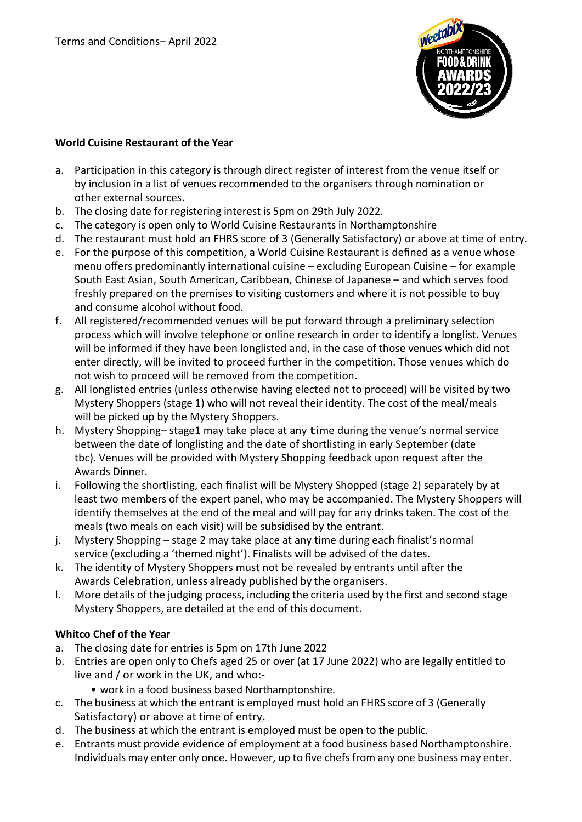

### **World Cuisine Restaurant of the Year**

- a. Participation in this category is through direct register of interest from the venue itself or by inclusion in a list of venues recommended to the organisers through nomination or other external sources.
- b. The closing date for registering interest is 5pm on 29th July 2022.
- c. The category is open only to World Cuisine Restaurants in Northamptonshire
- d. The restaurant must hold an FHRS score of 3 (Generally Satisfactory) or above at time of entry.
- e. For the purpose of this competition, a World Cuisine Restaurant is defined as a venue whose menu offers predominantly international cuisine – excluding European Cuisine – for example South East Asian, South American, Caribbean, Chinese of Japanese – and which serves food freshly prepared on the premises to visiting customers and where it is not possible to buy and consume alcohol without food.
- f. All registered/recommended venues will be put forward through a preliminary selection process which will involve telephone or online research in order to identify a longlist. Venues will be informed if they have been longlisted and, in the case of those venues which did not enter directly, will be invited to proceed further in the competition. Those venues which do not wish to proceed will be removed from the competition.
- g. All longlisted entries (unless otherwise having elected not to proceed) will be visited by two Mystery Shoppers (stage 1) who will not reveal their identity. The cost of the meal/meals will be picked up by the Mystery Shoppers.
- h. Mystery Shopping– stage1 may take place at any time during the venue's normal service between the date of longlisting and the date of shortlisting in early September (date tbc). Venues will be provided with Mystery Shopping feedback upon request after the Awards Dinner.
- i. Following the shortlisting, each finalist will be Mystery Shopped (stage 2) separately by at least two members of the expert panel, who may be accompanied. The Mystery Shoppers will identify themselves at the end of the meal and will pay for any drinks taken. The cost of the meals (two meals on each visit) will be subsidised by the entrant.
- j. Mystery Shopping stage 2 may take place at any time during each finalist's normal service (excluding a 'themed night'). Finalists will be advised of the dates.
- k. The identity of Mystery Shoppers must not be revealed by entrants until after the Awards Celebration, unless already published by the organisers.
- l. More details of the judging process, including the criteria used by the first and second stage Mystery Shoppers, are detailed at the end of this document.

## **Whitco Chef of the Year**

- a. The closing date for entries is 5pm on 17th June 2022
- b. Entries are open only to Chefs aged 25 or over (at 17 June 2022) who are legally entitled to live and / or work in the UK, and who:-
	- work in a food business based Northamptonshire.
- c. The business at which the entrant is employed must hold an FHRS score of 3 (Generally Satisfactory) or above at time of entry.
- d. The business at which the entrant is employed must be open to the public.
- e. Entrants must provide evidence of employment at a food business based Northamptonshire. Individuals may enter only once. However, up to five chefs from any one business may enter.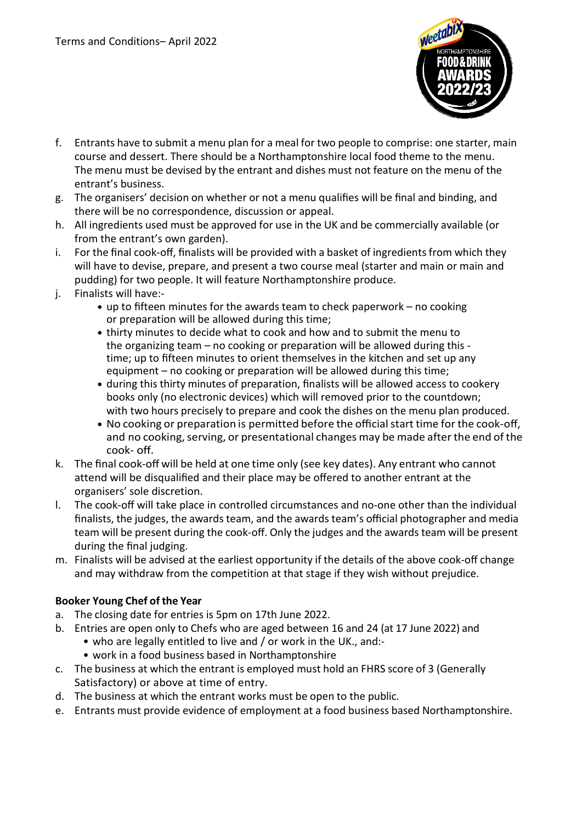

- f. Entrants have to submit a menu plan for a meal for two people to comprise: one starter, main course and dessert. There should be a Northamptonshire local food theme to the menu. The menu must be devised by the entrant and dishes must not feature on the menu of the entrant's business.
- g. The organisers' decision on whether or not a menu qualifies will be final and binding, and there will be no correspondence, discussion or appeal.
- h. All ingredients used must be approved for use in the UK and be commercially available (or from the entrant's own garden).
- i. For the final cook-off, finalists will be provided with a basket of ingredients from which they will have to devise, prepare, and present a two course meal (starter and main or main and pudding) for two people. It will feature Northamptonshire produce.
- j. Finalists will have:-
	- up to fifteen minutes for the awards team to check paperwork no cooking or preparation will be allowed during this time;
	- thirty minutes to decide what to cook and how and to submit the menu to the organizing team – no cooking or preparation will be allowed during this time; up to fifteen minutes to orient themselves in the kitchen and set up any equipment – no cooking or preparation will be allowed during this time;
	- during this thirty minutes of preparation, finalists will be allowed access to cookery books only (no electronic devices) which will removed prior to the countdown; with two hours precisely to prepare and cook the dishes on the menu plan produced.
	- No cooking or preparation is permitted before the official start time for the cook-off, and no cooking, serving, or presentational changes may be made after the end of the cook- off.
- k. The final cook-off will be held at one time only (see key dates). Any entrant who cannot attend will be disqualified and their place may be offered to another entrant at the organisers' sole discretion.
- l. The cook-off will take place in controlled circumstances and no-one other than the individual finalists, the judges, the awards team, and the awards team's official photographer and media team will be present during the cook-off. Only the judges and the awards team will be present during the final judging.
- m. Finalists will be advised at the earliest opportunity if the details of the above cook-off change and may withdraw from the competition at that stage if they wish without prejudice.

# **Booker Young Chef of the Year**

- a. The closing date for entries is 5pm on 17th June 2022.
- b. Entries are open only to Chefs who are aged between 16 and 24 (at 17 June 2022) and
	- who are legally entitled to live and / or work in the UK., and:-
		- work in a food business based in Northamptonshire
- c. The business at which the entrant is employed must hold an FHRS score of 3 (Generally Satisfactory) or above at time of entry.
- d. The business at which the entrant works must be open to the public.
- e. Entrants must provide evidence of employment at a food business based Northamptonshire.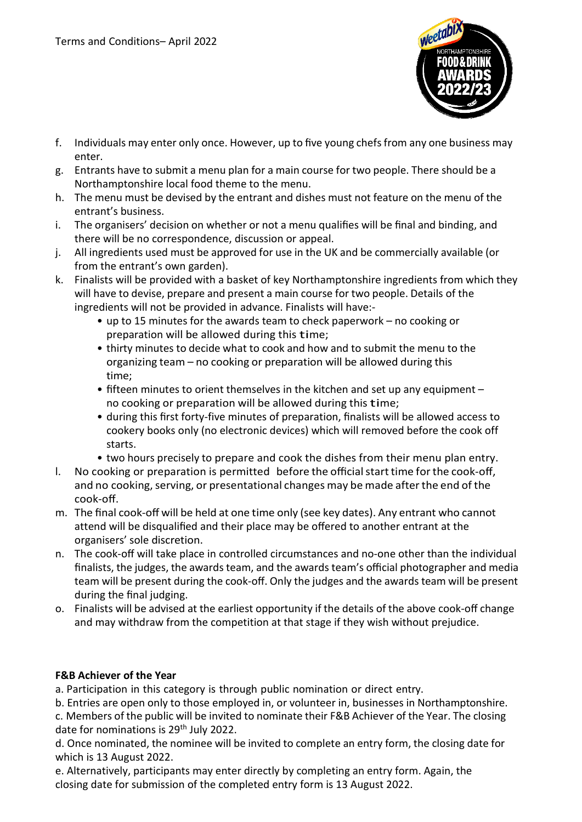

- f. Individuals may enter only once. However, up to five young chefsfrom any one business may enter.
- g. Entrants have to submit a menu plan for a main course for two people. There should be a Northamptonshire local food theme to the menu.
- h. The menu must be devised by the entrant and dishes must not feature on the menu of the entrant's business.
- i. The organisers' decision on whether or not a menu qualifies will be final and binding, and there will be no correspondence, discussion or appeal.
- j. All ingredients used must be approved for use in the UK and be commercially available (or from the entrant's own garden).
- k. Finalists will be provided with a basket of key Northamptonshire ingredients from which they will have to devise, prepare and present a main course for two people. Details of the ingredients will not be provided in advance. Finalists will have:-
	- up to 15 minutes for the awards team to check paperwork no cooking or preparation will be allowed during this time;
	- thirty minutes to decide what to cook and how and to submit the menu to the organizing team – no cooking or preparation will be allowed during this time;
	- fifteen minutes to orient themselves in the kitchen and set up any equipment no cooking or preparation will be allowed during this time;
	- during this first forty-five minutes of preparation, finalists will be allowed access to cookery books only (no electronic devices) which will removed before the cook off starts.
	- two hours precisely to prepare and cook the dishes from their menu plan entry.
- l. No cooking or preparation is permitted before the official start time for the cook-off, and no cooking, serving, or presentational changes may be made after the end of the cook-off.
- m. The final cook-off will be held at one time only (see key dates). Any entrant who cannot attend will be disqualified and their place may be offered to another entrant at the organisers' sole discretion.
- n. The cook-off will take place in controlled circumstances and no-one other than the individual finalists, the judges, the awards team, and the awards team's official photographer and media team will be present during the cook-off. Only the judges and the awards team will be present during the final judging.
- o. Finalists will be advised at the earliest opportunity if the details of the above cook-off change and may withdraw from the competition at that stage if they wish without prejudice.

# **F&B Achiever of the Year**

a. Participation in this category is through public nomination or direct entry.

b. Entries are open only to those employed in, or volunteer in, businesses in Northamptonshire.

c. Members of the public will be invited to nominate their F&B Achiever of the Year. The closing date for nominations is 29<sup>th</sup> July 2022.

d. Once nominated, the nominee will be invited to complete an entry form, the closing date for which is 13 August 2022.

e. Alternatively, participants may enter directly by completing an entry form. Again, the closing date for submission of the completed entry form is 13 August 2022.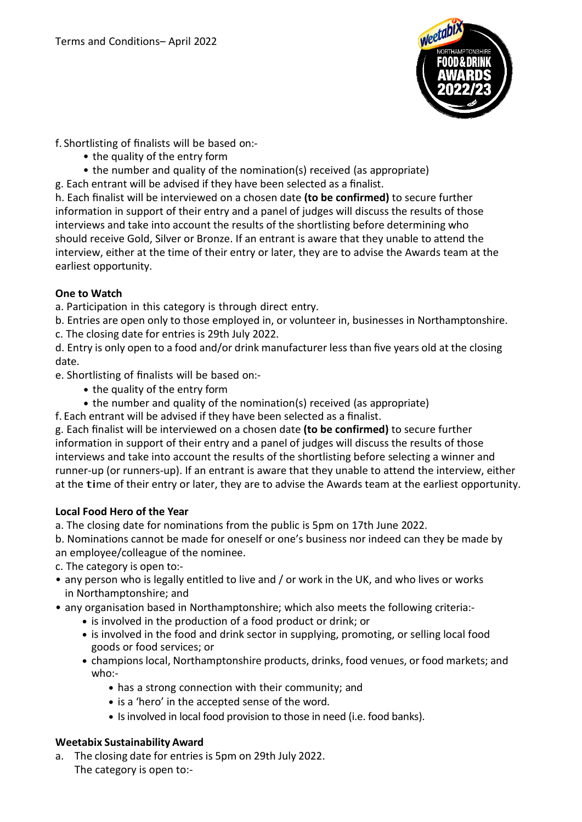

f. Shortlisting of finalists will be based on:-

- the quality of the entry form
- the number and quality of the nomination(s) received (as appropriate)
- g. Each entrant will be advised if they have been selected as a finalist.

h. Each finalist will be interviewed on a chosen date **(to be confirmed)** to secure further information in support of their entry and a panel of judges will discuss the results of those interviews and take into account the results of the shortlisting before determining who should receive Gold, Silver or Bronze. If an entrant is aware that they unable to attend the interview, either at the time of their entry or later, they are to advise the Awards team at the earliest opportunity.

# **One to Watch**

a. Participation in this category is through direct entry.

b. Entries are open only to those employed in, or volunteer in, businesses in Northamptonshire.

c. The closing date for entries is 29th July 2022.

d. Entry is only open to a food and/or drink manufacturer less than five years old at the closing date.

e. Shortlisting of finalists will be based on:-

- the quality of the entry form
- the number and quality of the nomination(s) received (as appropriate)
- f. Each entrant will be advised if they have been selected as a finalist.

g. Each finalist will be interviewed on a chosen date **(to be confirmed)** to secure further information in support of their entry and a panel of judges will discuss the results of those interviews and take into account the results of the shortlisting before selecting a winner and runner-up (or runners-up). If an entrant is aware that they unable to attend the interview, either at the time of their entry or later, they are to advise the Awards team at the earliest opportunity.

# **Local Food Hero of the Year**

a. The closing date for nominations from the public is 5pm on 17th June 2022.

b. Nominations cannot be made for oneself or one's business nor indeed can they be made by an employee/colleague of the nominee.

c. The category is open to:-

- any person who is legally entitled to live and / or work in the UK, and who lives or works in Northamptonshire; and
- any organisation based in Northamptonshire; which also meets the following criteria:-
	- is involved in the production of a food product or drink; or
	- is involved in the food and drink sector in supplying, promoting, or selling local food goods or food services; or
	- champions local, Northamptonshire products, drinks, food venues, or food markets; and who:-
		- has a strong connection with their community; and
		- is a 'hero' in the accepted sense of the word.
		- Is involved in local food provision to those in need (i.e. food banks).

# **Weetabix Sustainability Award**

a. The closing date for entries is 5pm on 29th July 2022. The category is open to:-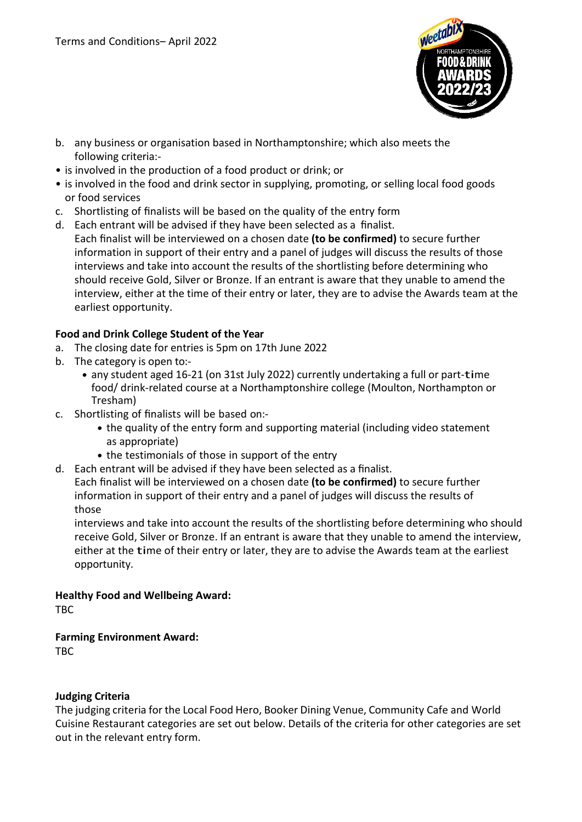

- b. any business or organisation based in Northamptonshire; which also meets the following criteria:-
- is involved in the production of a food product or drink; or
- is involved in the food and drink sector in supplying, promoting, or selling local food goods or food services
- c. Shortlisting of finalists will be based on the quality of the entry form
- d. Each entrant will be advised if they have been selected as a finalist. Each finalist will be interviewed on a chosen date **(to be confirmed)** to secure further information in support of their entry and a panel of judges will discuss the results of those interviews and take into account the results of the shortlisting before determining who should receive Gold, Silver or Bronze. If an entrant is aware that they unable to amend the interview, either at the time of their entry or later, they are to advise the Awards team at the earliest opportunity.

# **Food and Drink College Student of the Year**

- a. The closing date for entries is 5pm on 17th June 2022
- b. The category is open to:-
	- any student aged 16-21 (on 31st July 2022) currently undertaking <sup>a</sup> full or part-time food/ drink-related course at a Northamptonshire college (Moulton, Northampton or Tresham)
- c. Shortlisting of finalists will be based on:-
	- the quality of the entry form and supporting material (including video statement as appropriate)
	- the testimonials of those in support of the entry
- d. Each entrant will be advised if they have been selected as a finalist.

Each finalist will be interviewed on a chosen date **(to be confirmed)** to secure further information in support of their entry and a panel of judges will discuss the results of those

interviews and take into account the results of the shortlisting before determining who should receive Gold, Silver or Bronze. If an entrant is aware that they unable to amend the interview, either at the time of their entry or later, they are to advise the Awards team at the earliest opportunity.

## **Healthy Food and Wellbeing Award:**

TBC

## **Farming Environment Award:**

TBC

## **Judging Criteria**

The judging criteria for the Local Food Hero, Booker Dining Venue, Community Cafe and World Cuisine Restaurant categories are set out below. Details of the criteria for other categories are set out in the relevant entry form.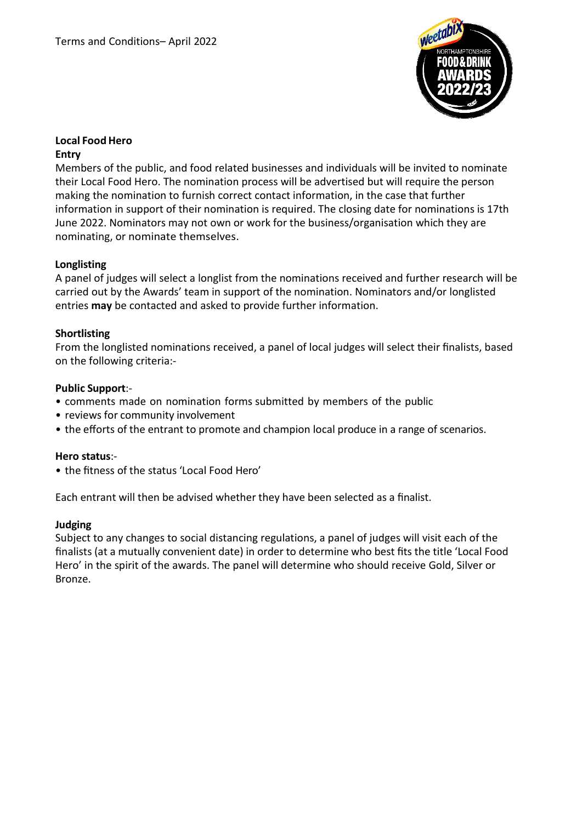

### **Local Food Hero Entry**

Members of the public, and food related businesses and individuals will be invited to nominate their Local Food Hero. The nomination process will be advertised but will require the person making the nomination to furnish correct contact information, in the case that further information in support of their nomination is required. The closing date for nominations is 17th June 2022. Nominators may not own or work for the business/organisation which they are nominating, or nominate themselves.

# **Longlisting**

A panel of judges will select a longlist from the nominations received and further research will be carried out by the Awards' team in support of the nomination. Nominators and/or longlisted entries **may** be contacted and asked to provide further information.

## **Shortlisting**

From the longlisted nominations received, a panel of local judges will select their finalists, based on the following criteria:-

## **Public Support**:-

- comments made on nomination forms submitted by members of the public
- reviews for community involvement
- the efforts of the entrant to promote and champion local produce in a range of scenarios.

## **Hero status**:-

• the fitness of the status 'Local Food Hero'

Each entrant will then be advised whether they have been selected as a finalist.

## **Judging**

Subject to any changes to social distancing regulations, a panel of judges will visit each of the finalists (at a mutually convenient date) in order to determine who best fits the title 'Local Food Hero' in the spirit of the awards. The panel will determine who should receive Gold, Silver or Bronze.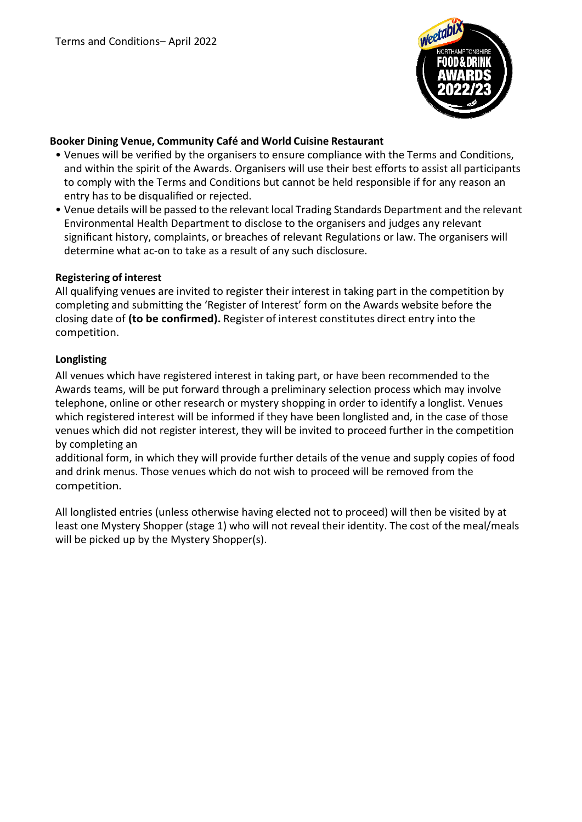

## **Booker Dining Venue, Community Café and World Cuisine Restaurant**

- Venues will be verified by the organisers to ensure compliance with the Terms and Conditions, and within the spirit of the Awards. Organisers will use their best efforts to assist all participants to comply with the Terms and Conditions but cannot be held responsible if for any reason an entry has to be disqualified or rejected.
- Venue details will be passed to the relevant local Trading Standards Department and the relevant Environmental Health Department to disclose to the organisers and judges any relevant significant history, complaints, or breaches of relevant Regulations or law. The organisers will determine what ac-on to take as a result of any such disclosure.

## **Registering of interest**

All qualifying venues are invited to register their interest in taking part in the competition by completing and submitting the 'Register of Interest' form on the Awards website before the closing date of **(to be confirmed).** Register of interest constitutes direct entry into the competition.

## **Longlisting**

All venues which have registered interest in taking part, or have been recommended to the Awards teams, will be put forward through a preliminary selection process which may involve telephone, online or other research or mystery shopping in order to identify a longlist. Venues which registered interest will be informed if they have been longlisted and, in the case of those venues which did not register interest, they will be invited to proceed further in the competition by completing an

additional form, in which they will provide further details of the venue and supply copies of food and drink menus. Those venues which do not wish to proceed will be removed from the competition.

All longlisted entries (unless otherwise having elected not to proceed) will then be visited by at least one Mystery Shopper (stage 1) who will not reveal their identity. The cost of the meal/meals will be picked up by the Mystery Shopper(s).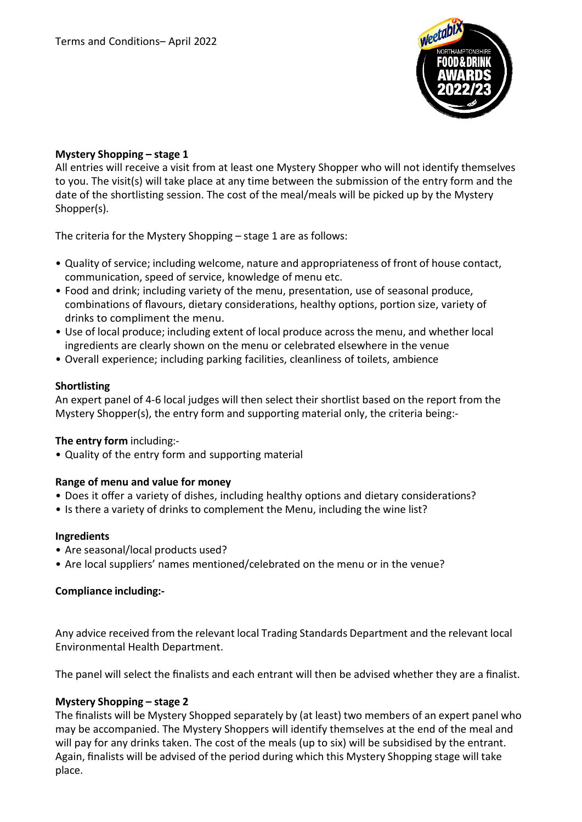

### **Mystery Shopping – stage 1**

All entries will receive a visit from at least one Mystery Shopper who will not identify themselves to you. The visit(s) will take place at any time between the submission of the entry form and the date of the shortlisting session. The cost of the meal/meals will be picked up by the Mystery Shopper(s).

The criteria for the Mystery Shopping – stage 1 are as follows:

- Quality of service; including welcome, nature and appropriateness of front of house contact, communication, speed of service, knowledge of menu etc.
- Food and drink; including variety of the menu, presentation, use of seasonal produce, combinations of flavours, dietary considerations, healthy options, portion size, variety of drinks to compliment the menu.
- Use of local produce; including extent of local produce across the menu, and whether local ingredients are clearly shown on the menu or celebrated elsewhere in the venue
- Overall experience; including parking facilities, cleanliness of toilets, ambience

### **Shortlisting**

An expert panel of 4-6 local judges will then select their shortlist based on the report from the Mystery Shopper(s), the entry form and supporting material only, the criteria being:-

#### **The entry form** including:-

• Quality of the entry form and supporting material

#### **Range of menu and value for money**

- Does it offer a variety of dishes, including healthy options and dietary considerations?
- Is there a variety of drinks to complement the Menu, including the wine list?

#### **Ingredients**

- Are seasonal/local products used?
- Are local suppliers' names mentioned/celebrated on the menu or in the venue?

#### **Compliance including:-**

Any advice received from the relevant local Trading Standards Department and the relevant local Environmental Health Department.

The panel will select the finalists and each entrant will then be advised whether they are a finalist.

#### **Mystery Shopping – stage 2**

The finalists will be Mystery Shopped separately by (at least) two members of an expert panel who may be accompanied. The Mystery Shoppers will identify themselves at the end of the meal and will pay for any drinks taken. The cost of the meals (up to six) will be subsidised by the entrant. Again, finalists will be advised of the period during which this Mystery Shopping stage will take place.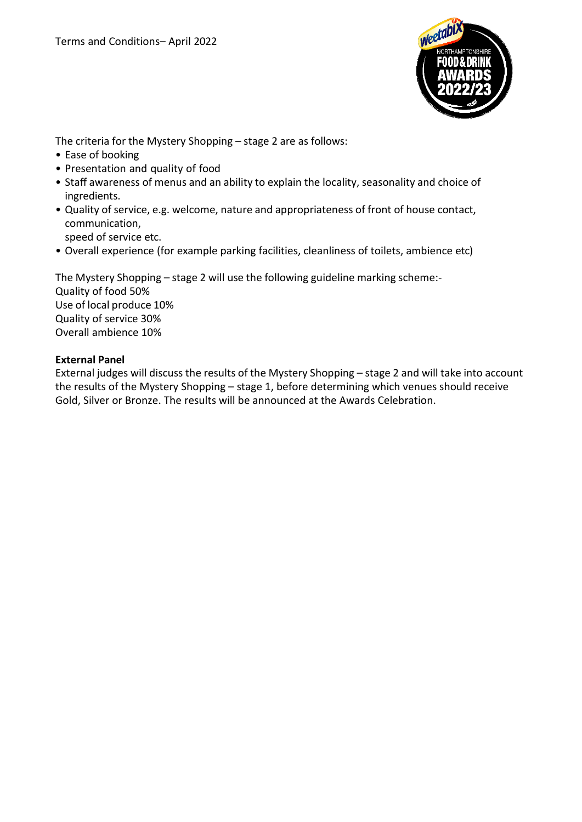

The criteria for the Mystery Shopping – stage 2 are as follows:

- Ease of booking
- Presentation and quality of food
- Staff awareness of menus and an ability to explain the locality, seasonality and choice of ingredients.
- Quality of service, e.g. welcome, nature and appropriateness of front of house contact, communication,

speed of service etc.

• Overall experience (for example parking facilities, cleanliness of toilets, ambience etc)

The Mystery Shopping – stage 2 will use the following guideline marking scheme:- Quality of food 50% Use of local produce 10% Quality of service 30% Overall ambience 10%

## **External Panel**

External judges will discuss the results of the Mystery Shopping – stage 2 and will take into account the results of the Mystery Shopping – stage 1, before determining which venues should receive Gold, Silver or Bronze. The results will be announced at the Awards Celebration.